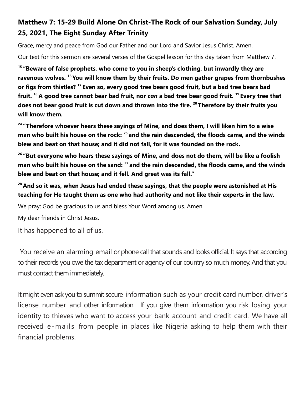## **Matthew 7: 15-29 Build Alone On Christ-The Rock of our Salvation Sunday, July 25, 2021, The Eight Sunday After Trinity**

Grace, mercy and peace from God our Father and our Lord and Savior Jesus Christ. Amen.

Our text for this sermon are several verses of the Gospel lesson for this day taken from Matthew 7.

**<sup>15</sup> "Beware of false prophets, who come to you in sheep's clothing, but inwardly they are ravenous wolves. <sup>16</sup> You will know them by their fruits. Do men gather grapes from thornbushes or figs from thistles? <sup>17</sup> Even so, every good tree bears good fruit, but a bad tree bears bad fruit. <sup>18</sup> A good tree cannot bear bad fruit, nor** *can* **a bad tree bear good fruit. <sup>19</sup> Every tree that does not bear good fruit is cut down and thrown into the fire. <sup>20</sup> Therefore by their fruits you will know them.**

**<sup>24</sup> "Therefore whoever hears these sayings of Mine, and does them, I will liken him to a wise man who built his house on the rock: <sup>25</sup> and the rain descended, the floods came, and the winds blew and beat on that house; and it did not fall, for it was founded on the rock.**

**<sup>26</sup> "But everyone who hears these sayings of Mine, and does not do them, will be like a foolish man who built his house on the sand: <sup>27</sup> and the rain descended, the floods came, and the winds blew and beat on that house; and it fell. And great was its fall."**

**<sup>28</sup> And so it was, when Jesus had ended these sayings, that the people were astonished at His teaching for He taught them as one who had authority and not like their experts in the law.**

We pray: God be gracious to us and bless Your Word among us. Amen.

My dear friends in Christ Jesus.

It has happened to all of us.

You receive an alarming email or phone call that sounds and looks official. It says that according to their records you owe the tax department or agency of our country so much money. And that you must contact them immediately.

It might even ask you to summit secure information such as your credit card number, driver's license number and other information. If you give them information you risk losing your identity to thieves who want to access your bank account and credit card. We have all received e-mails from people in places like Nigeria asking to help them with their financial problems.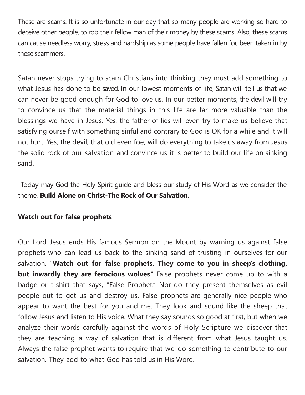These are scams. It is so unfortunate in our day that so many people are working so hard to deceive other people, to rob their fellow man of their money by these scams. Also, these scams can cause needless worry, stress and hardship as some people have fallen for, been taken in by these scammers.

Satan never stops trying to scam Christians into thinking they must add something to what Jesus has done to be saved. In our lowest moments of life, Satan will tell us that we can never be good enough for God to love us. In our better moments, the devil will try to convince us that the material things in this life are far more valuable than the blessings we have in Jesus. Yes, the father of lies will even try to make us believe that satisfying ourself with something sinful and contrary to God is OK for a while and it will not hurt. Yes, the devil, that old even foe, will do everything to take us away from Jesus the solid rock of our salvation and convince us it is better to build our life on sinking sand.

Today may God the Holy Spirit guide and bless our study of His Word as we consider the theme, **Build Alone on Christ-The Rock of Our Salvation.** 

## **Watch out for false prophets**

Our Lord Jesus ends His famous Sermon on the Mount by warning us against false prophets who can lead us back to the sinking sand of trusting in ourselves for our salvation. "**Watch out for false prophets. They come to you in sheep's clothing, but inwardly they are ferocious wolves**." False prophets never come up to with a badge or t-shirt that says, "False Prophet." Nor do they present themselves as evil people out to get us and destroy us. False prophets are generally nice people who appear to want the best for you and me. They look and sound like the sheep that follow Jesus and listen to His voice. What they say sounds so good at first, but when we analyze their words carefully against the words of Holy Scripture we discover that they are teaching a way of salvation that is different from what Jesus taught us. Always the false prophet wants to require that we do something to contribute to our salvation. They add to what God has told us in His Word.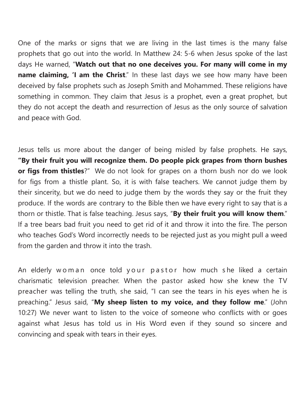One of the marks or signs that we are living in the last times is the many false prophets that go out into the world. In Matthew 24: 5-6 when Jesus spoke of the last days He warned, "**Watch out that no one deceives you. For many will come in my name claiming, 'I am the Christ**." In these last days we see how many have been deceived by false prophets such as Joseph Smith and Mohammed. These religions have something in common. They claim that Jesus is a prophet, even a great prophet, but they do not accept the death and resurrection of Jesus as the only source of salvation and peace with God.

Jesus tells us more about the danger of being misled by false prophets. He says, **"By their fruit you will recognize them. Do people pick grapes from thorn bushes or figs from thistles**?" We do not look for grapes on a thorn bush nor do we look for figs from a thistle plant. So, it is with false teachers. We cannot judge them by their sincerity, but we do need to judge them by the words they say or the fruit they produce. If the words are contrary to the Bible then we have every right to say that is a thorn or thistle. That is false teaching. Jesus says, "**By their fruit you will know them**." If a tree bears bad fruit you need to get rid of it and throw it into the fire. The person who teaches God's Word incorrectly needs to be rejected just as you might pull a weed from the garden and throw it into the trash.

An elderly woman once told your pastor how much she liked a certain charismatic television preacher. When the pastor asked how she knew the TV preacher was telling the truth, she said, "I can see the tears in his eyes when he is preaching." Jesus said, "**My sheep listen to my voice, and they follow me**." (John 10:27) We never want to listen to the voice of someone who conflicts with or goes against what Jesus has told us in His Word even if they sound so sincere and convincing and speak with tears in their eyes.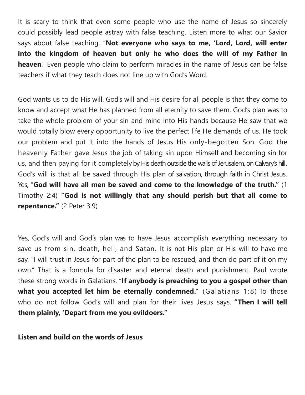It is scary to think that even some people who use the name of Jesus so sincerely could possibly lead people astray with false teaching. Listen more to what our Savior says about false teaching. "**Not everyone who says to me, 'Lord, Lord, will enter into the kingdom of heaven but only he who does the will of my Father in heaven**." Even people who claim to perform miracles in the name of Jesus can be false teachers if what they teach does not line up with God's Word.

God wants us to do His will. God's will and His desire for all people is that they come to know and accept what He has planned from all eternity to save them. God's plan was to take the whole problem of your sin and mine into His hands because He saw that we would totally blow every opportunity to live the perfect life He demands of us. He took our problem and put it into the hands of Jesus His only-begotten Son. God the heavenly Father gave Jesus the job of taking sin upon Himself and becoming sin for us, and then paying for it completely by His death outside the walls of Jerusalem, on Calvary's hill. God's will is that all be saved through His plan of salvation, through faith in Christ Jesus. Yes, "**God will have all men be saved and come to the knowledge of the truth."** (1 Timothy 2:4) **"God is not willingly that any should perish but that all come to repentance."** (2 Peter 3:9)

Yes, God's will and God's plan was to have Jesus accomplish everything necessary to save us from sin, death, hell, and Satan. It is not His plan or His will to have me say, "I will trust in Jesus for part of the plan to be rescued, and then do part of it on my own." That is a formula for disaster and eternal death and punishment. Paul wrote these strong words in Galatians, "**If anybody is preaching to you a gospel other than what you accepted let him be eternally condemned."** (Galatians 1:8) To those who do not follow God's will and plan for their lives Jesus says, **"Then I will tell them plainly, 'Depart from me you evildoers."**

**Listen and build on the words of Jesus**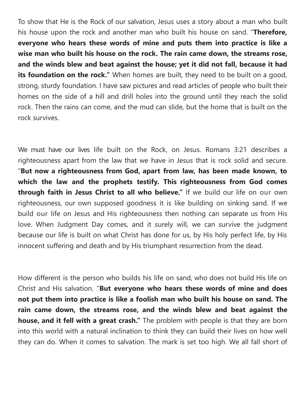To show that He is the Rock of our salvation, Jesus uses a story about a man who built his house upon the rock and another man who built his house on sand. "**Therefore, everyone who hears these words of mine and puts them into practice is like a wise man who built his house on the rock. The rain came down, the streams rose, and the winds blew and beat against the house; yet it did not fall, because it had its foundation on the rock."** When homes are built, they need to be built on a good, strong, sturdy foundation. I have saw pictures and read articles of people who built their homes on the side of a hill and drill holes into the ground until they reach the solid rock. Then the rains can come, and the mud can slide, but the home that is built on the rock survives.

We must have our lives life built on the Rock, on Jesus. Romans 3:21 describes a righteousness apart from the law that we have in Jesus that is rock solid and secure. "**But now a righteousness from God, apart from law, has been made known, to which the law and the prophets testify. This righteousness from God comes through faith in Jesus Christ to all who believe."** If we build our life on our own righteousness, our own supposed goodness it is like building on sinking sand. If we build our life on Jesus and His righteousness then nothing can separate us from His love. When Judgment Day comes, and it surely will, we can survive the judgment because our life is built on what Christ has done for us, by His holy perfect life, by His innocent suffering and death and by His triumphant resurrection from the dead.

How different is the person who builds his life on sand, who does not build His life on Christ and His salvation. "**But everyone who hears these words of mine and does not put them into practice is like a foolish man who built his house on sand. The rain came down, the streams rose, and the winds blew and beat against the house, and it fell with a great crash."** The problem with people is that they are born into this world with a natural inclination to think they can build their lives on how well they can do. When it comes to salvation. The mark is set too high. We all fall short of